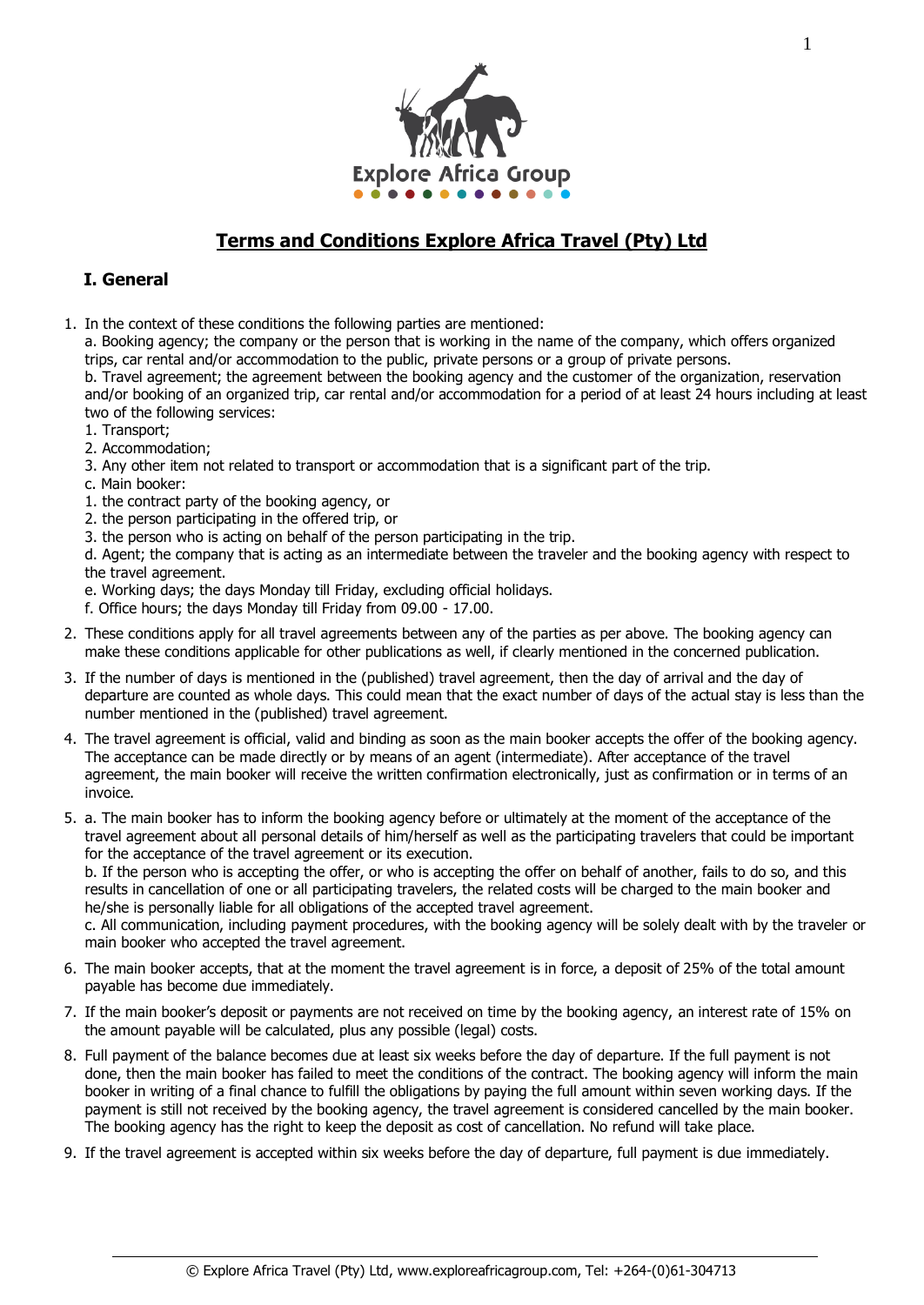

# **Terms and Conditions Explore Africa Travel (Pty) Ltd**

## **I. General**

1. In the context of these conditions the following parties are mentioned:

a. Booking agency; the company or the person that is working in the name of the company, which offers organized trips, car rental and/or accommodation to the public, private persons or a group of private persons.

b. Travel agreement; the agreement between the booking agency and the customer of the organization, reservation and/or booking of an organized trip, car rental and/or accommodation for a period of at least 24 hours including at least two of the following services:

- 1. Transport;
- 2. Accommodation;
- 3. Any other item not related to transport or accommodation that is a significant part of the trip.
- c. Main booker:
- 1. the contract party of the booking agency, or
- 2. the person participating in the offered trip, or
- 3. the person who is acting on behalf of the person participating in the trip.

d. Agent; the company that is acting as an intermediate between the traveler and the booking agency with respect to the travel agreement.

e. Working days; the days Monday till Friday, excluding official holidays.

- f. Office hours; the days Monday till Friday from 09.00 17.00.
- 2. These conditions apply for all travel agreements between any of the parties as per above. The booking agency can make these conditions applicable for other publications as well, if clearly mentioned in the concerned publication.
- 3. If the number of days is mentioned in the (published) travel agreement, then the day of arrival and the day of departure are counted as whole days. This could mean that the exact number of days of the actual stay is less than the number mentioned in the (published) travel agreement.
- 4. The travel agreement is official, valid and binding as soon as the main booker accepts the offer of the booking agency. The acceptance can be made directly or by means of an agent (intermediate). After acceptance of the travel agreement, the main booker will receive the written confirmation electronically, just as confirmation or in terms of an invoice.
- 5. a. The main booker has to inform the booking agency before or ultimately at the moment of the acceptance of the travel agreement about all personal details of him/herself as well as the participating travelers that could be important for the acceptance of the travel agreement or its execution.

b. If the person who is accepting the offer, or who is accepting the offer on behalf of another, fails to do so, and this results in cancellation of one or all participating travelers, the related costs will be charged to the main booker and he/she is personally liable for all obligations of the accepted travel agreement.

c. All communication, including payment procedures, with the booking agency will be solely dealt with by the traveler or main booker who accepted the travel agreement.

- 6. The main booker accepts, that at the moment the travel agreement is in force, a deposit of 25% of the total amount payable has become due immediately.
- 7. If the main booker's deposit or payments are not received on time by the booking agency, an interest rate of 15% on the amount payable will be calculated, plus any possible (legal) costs.
- 8. Full payment of the balance becomes due at least six weeks before the day of departure. If the full payment is not done, then the main booker has failed to meet the conditions of the contract. The booking agency will inform the main booker in writing of a final chance to fulfill the obligations by paying the full amount within seven working days. If the payment is still not received by the booking agency, the travel agreement is considered cancelled by the main booker. The booking agency has the right to keep the deposit as cost of cancellation. No refund will take place.
- 9. If the travel agreement is accepted within six weeks before the day of departure, full payment is due immediately.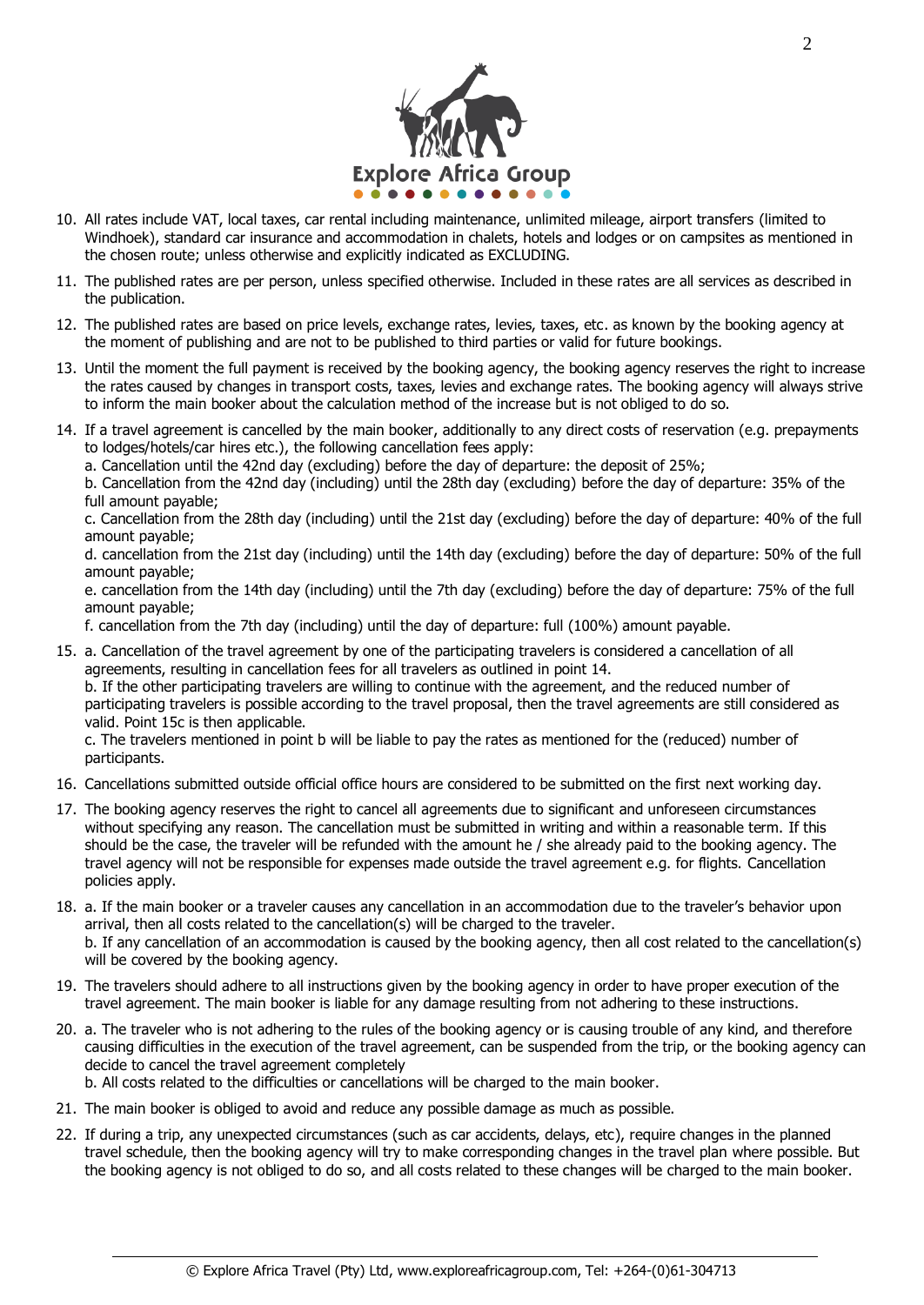

- 10. All rates include VAT, local taxes, car rental including maintenance, unlimited mileage, airport transfers (limited to Windhoek), standard car insurance and accommodation in chalets, hotels and lodges or on campsites as mentioned in the chosen route; unless otherwise and explicitly indicated as EXCLUDING.
- 11. The published rates are per person, unless specified otherwise. Included in these rates are all services as described in the publication.
- 12. The published rates are based on price levels, exchange rates, levies, taxes, etc. as known by the booking agency at the moment of publishing and are not to be published to third parties or valid for future bookings.
- 13. Until the moment the full payment is received by the booking agency, the booking agency reserves the right to increase the rates caused by changes in transport costs, taxes, levies and exchange rates. The booking agency will always strive to inform the main booker about the calculation method of the increase but is not obliged to do so.
- 14. If a travel agreement is cancelled by the main booker, additionally to any direct costs of reservation (e.g. prepayments to lodges/hotels/car hires etc.), the following cancellation fees apply:
	- a. Cancellation until the 42nd day (excluding) before the day of departure: the deposit of 25%;

b. Cancellation from the 42nd day (including) until the 28th day (excluding) before the day of departure: 35% of the full amount payable;

c. Cancellation from the 28th day (including) until the 21st day (excluding) before the day of departure: 40% of the full amount payable;

d. cancellation from the 21st day (including) until the 14th day (excluding) before the day of departure: 50% of the full amount payable;

e. cancellation from the 14th day (including) until the 7th day (excluding) before the day of departure: 75% of the full amount payable;

f. cancellation from the 7th day (including) until the day of departure: full (100%) amount payable.

15. a. Cancellation of the travel agreement by one of the participating travelers is considered a cancellation of all agreements, resulting in cancellation fees for all travelers as outlined in point 14.

b. If the other participating travelers are willing to continue with the agreement, and the reduced number of participating travelers is possible according to the travel proposal, then the travel agreements are still considered as valid. Point 15c is then applicable.

c. The travelers mentioned in point b will be liable to pay the rates as mentioned for the (reduced) number of participants.

- 16. Cancellations submitted outside official office hours are considered to be submitted on the first next working day.
- 17. The booking agency reserves the right to cancel all agreements due to significant and unforeseen circumstances without specifying any reason. The cancellation must be submitted in writing and within a reasonable term. If this should be the case, the traveler will be refunded with the amount he / she already paid to the booking agency. The travel agency will not be responsible for expenses made outside the travel agreement e.g. for flights. Cancellation policies apply.
- 18. a. If the main booker or a traveler causes any cancellation in an accommodation due to the traveler's behavior upon arrival, then all costs related to the cancellation(s) will be charged to the traveler. b. If any cancellation of an accommodation is caused by the booking agency, then all cost related to the cancellation(s) will be covered by the booking agency.
- 19. The travelers should adhere to all instructions given by the booking agency in order to have proper execution of the travel agreement. The main booker is liable for any damage resulting from not adhering to these instructions.
- 20. a. The traveler who is not adhering to the rules of the booking agency or is causing trouble of any kind, and therefore causing difficulties in the execution of the travel agreement, can be suspended from the trip, or the booking agency can decide to cancel the travel agreement completely b. All costs related to the difficulties or cancellations will be charged to the main booker.
- 21. The main booker is obliged to avoid and reduce any possible damage as much as possible.
- 22. If during a trip, any unexpected circumstances (such as car accidents, delays, etc), require changes in the planned travel schedule, then the booking agency will try to make corresponding changes in the travel plan where possible. But the booking agency is not obliged to do so, and all costs related to these changes will be charged to the main booker.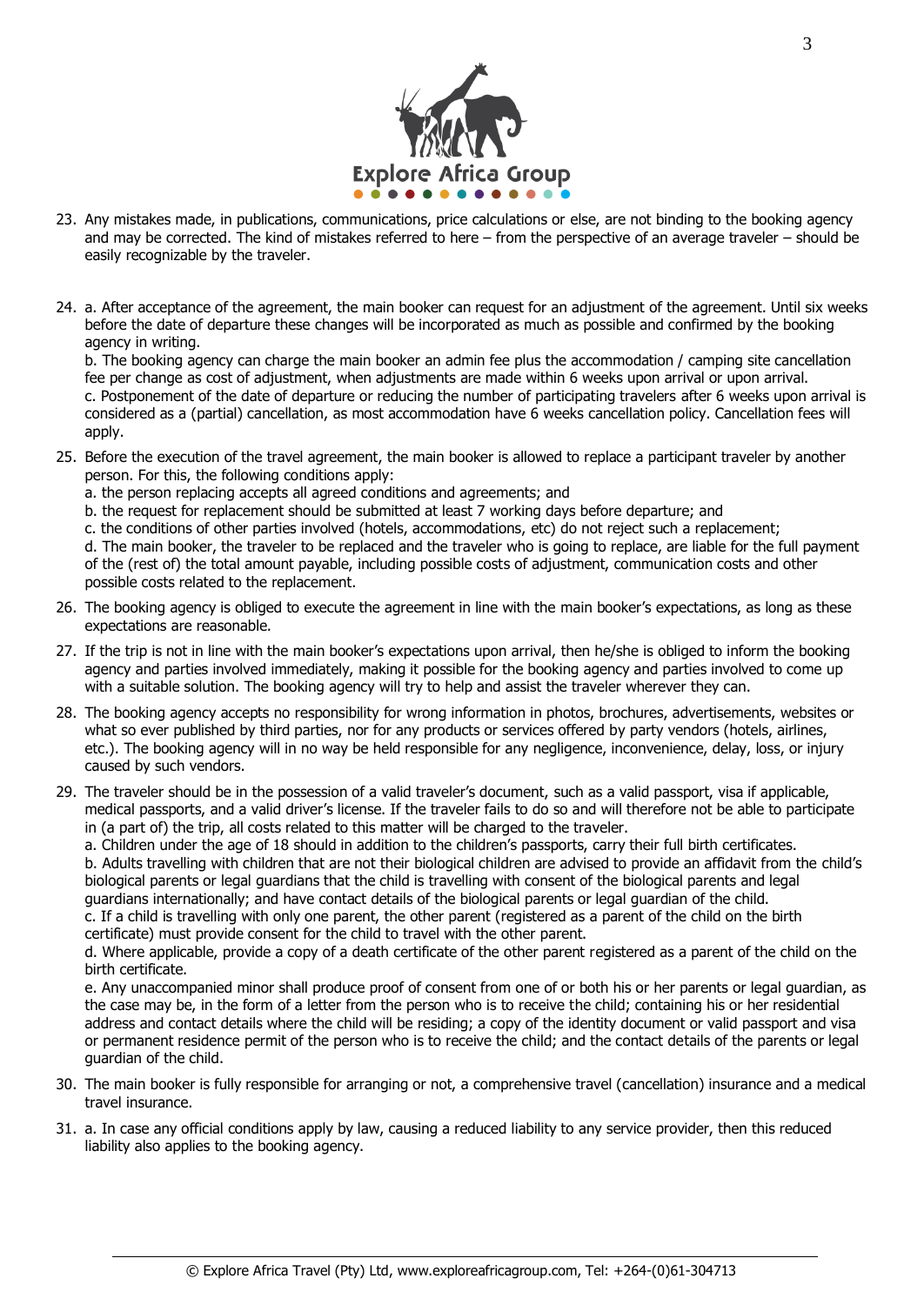

- 23. Any mistakes made, in publications, communications, price calculations or else, are not binding to the booking agency and may be corrected. The kind of mistakes referred to here – from the perspective of an average traveler – should be easily recognizable by the traveler.
- 24. a. After acceptance of the agreement, the main booker can request for an adjustment of the agreement. Until six weeks before the date of departure these changes will be incorporated as much as possible and confirmed by the booking agency in writing.

b. The booking agency can charge the main booker an admin fee plus the accommodation / camping site cancellation fee per change as cost of adjustment, when adjustments are made within 6 weeks upon arrival or upon arrival. c. Postponement of the date of departure or reducing the number of participating travelers after 6 weeks upon arrival is considered as a (partial) cancellation, as most accommodation have 6 weeks cancellation policy. Cancellation fees will apply.

- 25. Before the execution of the travel agreement, the main booker is allowed to replace a participant traveler by another person. For this, the following conditions apply:
	- a. the person replacing accepts all agreed conditions and agreements; and
	- b. the request for replacement should be submitted at least 7 working days before departure; and
	- c. the conditions of other parties involved (hotels, accommodations, etc) do not reject such a replacement;

d. The main booker, the traveler to be replaced and the traveler who is going to replace, are liable for the full payment of the (rest of) the total amount payable, including possible costs of adjustment, communication costs and other possible costs related to the replacement.

- 26. The booking agency is obliged to execute the agreement in line with the main booker's expectations, as long as these expectations are reasonable.
- 27. If the trip is not in line with the main booker's expectations upon arrival, then he/she is obliged to inform the booking agency and parties involved immediately, making it possible for the booking agency and parties involved to come up with a suitable solution. The booking agency will try to help and assist the traveler wherever they can.
- 28. The booking agency accepts no responsibility for wrong information in photos, brochures, advertisements, websites or what so ever published by third parties, nor for any products or services offered by party vendors (hotels, airlines, etc.). The booking agency will in no way be held responsible for any negligence, inconvenience, delay, loss, or injury caused by such vendors.
- 29. The traveler should be in the possession of a valid traveler's document, such as a valid passport, visa if applicable, medical passports, and a valid driver's license. If the traveler fails to do so and will therefore not be able to participate in (a part of) the trip, all costs related to this matter will be charged to the traveler.

a. Children under the age of 18 should in addition to the children's passports, carry their full birth certificates.

b. Adults travelling with children that are not their biological children are advised to provide an affidavit from the child's biological parents or legal guardians that the child is travelling with consent of the biological parents and legal guardians internationally; and have contact details of the biological parents or legal guardian of the child.

c. If a child is travelling with only one parent, the other parent (registered as a parent of the child on the birth certificate) must provide consent for the child to travel with the other parent.

d. Where applicable, provide a copy of a death certificate of the other parent registered as a parent of the child on the birth certificate.

e. Any unaccompanied minor shall produce proof of consent from one of or both his or her parents or legal guardian, as the case may be, in the form of a letter from the person who is to receive the child; containing his or her residential address and contact details where the child will be residing; a copy of the identity document or valid passport and visa or permanent residence permit of the person who is to receive the child; and the contact details of the parents or legal guardian of the child.

- 30. The main booker is fully responsible for arranging or not, a comprehensive travel (cancellation) insurance and a medical travel insurance.
- 31. a. In case any official conditions apply by law, causing a reduced liability to any service provider, then this reduced liability also applies to the booking agency.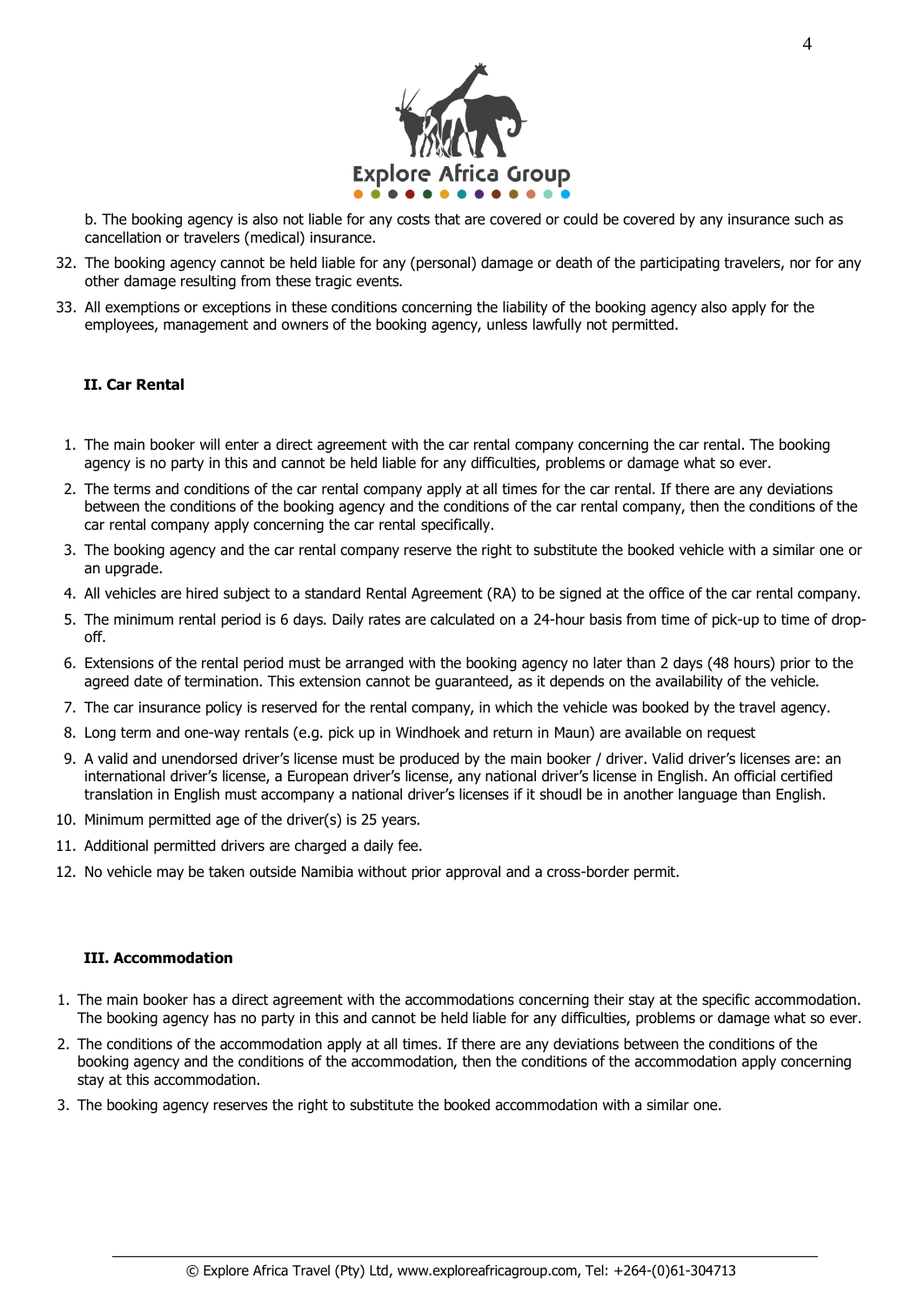

b. The booking agency is also not liable for any costs that are covered or could be covered by any insurance such as cancellation or travelers (medical) insurance.

- 32. The booking agency cannot be held liable for any (personal) damage or death of the participating travelers, nor for any other damage resulting from these tragic events.
- 33. All exemptions or exceptions in these conditions concerning the liability of the booking agency also apply for the employees, management and owners of the booking agency, unless lawfully not permitted.

### **II. Car Rental**

- 1. The main booker will enter a direct agreement with the car rental company concerning the car rental. The booking agency is no party in this and cannot be held liable for any difficulties, problems or damage what so ever.
- 2. The terms and conditions of the car rental company apply at all times for the car rental. If there are any deviations between the conditions of the booking agency and the conditions of the car rental company, then the conditions of the car rental company apply concerning the car rental specifically.
- 3. The booking agency and the car rental company reserve the right to substitute the booked vehicle with a similar one or an upgrade.
- 4. All vehicles are hired subject to a standard Rental Agreement (RA) to be signed at the office of the car rental company.
- 5. The minimum rental period is 6 days. Daily rates are calculated on a 24-hour basis from time of pick-up to time of dropoff.
- 6. Extensions of the rental period must be arranged with the booking agency no later than 2 days (48 hours) prior to the agreed date of termination. This extension cannot be guaranteed, as it depends on the availability of the vehicle.
- 7. The car insurance policy is reserved for the rental company, in which the vehicle was booked by the travel agency.
- 8. Long term and one-way rentals (e.g. pick up in Windhoek and return in Maun) are available on request
- 9. A valid and unendorsed driver's license must be produced by the main booker / driver. Valid driver's licenses are: an international driver's license, a European driver's license, any national driver's license in English. An official certified translation in English must accompany a national driver's licenses if it shoudl be in another language than English.
- 10. Minimum permitted age of the driver(s) is 25 years.
- 11. Additional permitted drivers are charged a daily fee.
- 12. No vehicle may be taken outside Namibia without prior approval and a cross-border permit.

#### **III. Accommodation**

- 1. The main booker has a direct agreement with the accommodations concerning their stay at the specific accommodation. The booking agency has no party in this and cannot be held liable for any difficulties, problems or damage what so ever.
- 2. The conditions of the accommodation apply at all times. If there are any deviations between the conditions of the booking agency and the conditions of the accommodation, then the conditions of the accommodation apply concerning stay at this accommodation.
- 3. The booking agency reserves the right to substitute the booked accommodation with a similar one.